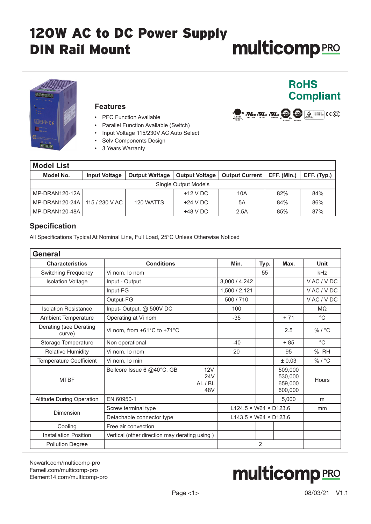

#### **Features**

- PFC Function Available
- Parallel Function Available (Switch)
- Input Voltage 115/230V AC Auto Select
- Selv Components Design
- 3 Years Warranty

| <b>Model List</b>               |                      |                       |                       |                              |     |             |
|---------------------------------|----------------------|-----------------------|-----------------------|------------------------------|-----|-------------|
| Model No.                       | <b>Input Voltage</b> | <b>Output Wattage</b> | <b>Output Voltage</b> | Output Current   EFF. (Min.) |     | EFF. (Typ.) |
| Single Output Models            |                      |                       |                       |                              |     |             |
| MP-DRAN120-12A                  |                      |                       | $+12$ V DC            | 10A                          | 82% | 84%         |
| MP-DRAN120-24A   115 / 230 V AC |                      | 120 WATTS             | $+24$ V DC            | 5A                           | 84% | 86%         |
| MP-DRAN120-48A                  |                      |                       | $+48$ V DC            | 2.5A                         | 85% | 87%         |

#### **Specification**

All Specifications Typical At Nominal Line, Full Load, 25°C Unless Otherwise Noticed

| <b>General</b>                   |                                                            |                                   |                |                                          |                    |
|----------------------------------|------------------------------------------------------------|-----------------------------------|----------------|------------------------------------------|--------------------|
| <b>Characteristics</b>           | <b>Conditions</b>                                          | Min.                              | Typ.           | Max.                                     | <b>Unit</b>        |
| <b>Switching Frequency</b>       | Vi nom, lo nom                                             |                                   | 55             |                                          | kHz                |
| <b>Isolation Voltage</b>         | Input - Output                                             | 3,000 / 4,242                     |                |                                          | VAC/VDC            |
|                                  | Input-FG                                                   | 1,500 / 2,121                     |                |                                          | VAC / VDC          |
|                                  | Output-FG                                                  | 500 / 710                         |                |                                          | VAC / VDC          |
| <b>Isolation Resistance</b>      | Input-Output, @ 500V DC                                    | 100                               |                |                                          | MΩ                 |
| Ambient Temperature              | Operating at Vi nom                                        | $-35$                             |                | $+71$                                    | $^{\circ}C$        |
| Derating (see Derating<br>curve) | Vi nom, from +61°C to +71°C                                |                                   |                | 2.5                                      | $%$ / $^{\circ}$ C |
| Storage Temperature              | Non operational                                            | $-40$                             |                | $+85$                                    | $^{\circ}C$        |
| <b>Relative Humidity</b>         | Vi nom, lo nom                                             | 20                                |                | 95                                       | % RH               |
| <b>Temperature Coefficient</b>   | Vi nom, lo min                                             |                                   |                | ± 0.03                                   | %/°C               |
| <b>MTBF</b>                      | 12V<br>Bellcore Issue 6 @40°C, GB<br>24V<br>AL / BL<br>48V |                                   |                | 509,000<br>530,000<br>659,000<br>600,000 | <b>Hours</b>       |
| <b>Altitude During Operation</b> | EN 60950-1                                                 |                                   |                | 5,000                                    | m                  |
|                                  | Screw terminal type                                        | $L124.5 \times W64 \times D123.6$ |                |                                          | mm                 |
| Dimension                        | Detachable connector type                                  | $L143.5 \times W64 \times D123.6$ |                |                                          |                    |
| Cooling                          | Free air convection                                        |                                   |                |                                          |                    |
| <b>Installation Position</b>     | Vertical (other direction may derating using)              |                                   |                |                                          |                    |
| <b>Pollution Degree</b>          |                                                            |                                   | $\overline{2}$ |                                          |                    |

[Newark.com/multicomp-](https://www.newark.com/multicomp-pro)pro [Farnell.com/multicomp](https://www.farnell.com/multicomp-pro)-pro [Element14.com/multicomp-pro](https://element14.com/multicomp-pro)



**RoHS** 

LE, autre autre au

**Compliant** 

 $\left(\begin{array}{c}\n\mathbf{w}\n\end{array}\right)$   $\left(\begin{array}{c}\n\mathbf{w}\n\end{array}\right)$   $\left(\begin{array}{c}\n\mathbf{w}\n\end{array}\right)$   $\left(\begin{array}{c}\n\mathbf{w}\n\end{array}\right)$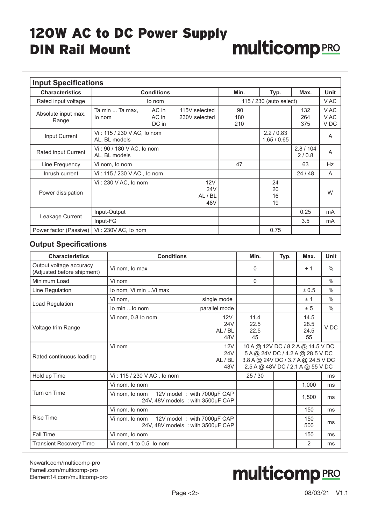| <b>Input Specifications</b>  |                                                      |                                          |                         |                         |                                 |             |
|------------------------------|------------------------------------------------------|------------------------------------------|-------------------------|-------------------------|---------------------------------|-------------|
| <b>Characteristics</b>       | <b>Conditions</b>                                    |                                          | Min.                    | Typ.                    | Max.                            | <b>Unit</b> |
| Rated input voltage          | lo nom                                               |                                          |                         | 115 / 230 (auto select) |                                 | V AC        |
| Absolute input max.<br>Range | AC in<br>Ta min  Ta max,<br>AC in<br>lo nom<br>DC in | 90<br>180<br>210                         |                         | 132<br>264<br>375       | V AC<br>V AC<br>V <sub>DC</sub> |             |
| Input Current                | Vi: 115 / 230 V AC, lo nom<br>AL, BL models          |                                          | 2.2/0.83<br>1.65 / 0.65 |                         | A                               |             |
| Rated input Current          | Vi: 90 / 180 V AC, lo nom<br>AL, BL models           |                                          |                         |                         | 2.8 / 104<br>2/0.8              | A           |
| Line Frequency               | Vi nom, lo nom                                       |                                          | 47                      |                         | 63                              | Hz          |
| Inrush current               | Vi: 115 / 230 V AC, lo nom                           |                                          |                         |                         | 24/48                           | A           |
| Power dissipation            | Vi: 230 V AC, lo nom                                 | 12V<br>24 <sub>V</sub><br>AL / BL<br>48V |                         | 24<br>20<br>16<br>19    |                                 | W           |
| Leakage Current              | Input-Output                                         |                                          |                         |                         | 0.25                            | mA          |
|                              | Input-FG                                             |                                          |                         |                         | 3.5                             | mA          |
| Power factor (Passive)       | Vi: 230V AC, lo nom                                  |                                          |                         | 0.75                    |                                 |             |

### **Output Specifications**

| <b>Characteristics</b>                                | <b>Conditions</b>                                                                 |                              | Min.                                                                                                                                            | Typ. | Max.                       | <b>Unit</b>     |
|-------------------------------------------------------|-----------------------------------------------------------------------------------|------------------------------|-------------------------------------------------------------------------------------------------------------------------------------------------|------|----------------------------|-----------------|
| Output voltage accuracy<br>(Adjusted before shipment) | Vi nom, lo max                                                                    |                              | 0                                                                                                                                               |      | $+1$                       | $\frac{0}{0}$   |
| Minimum Load                                          | Vi nom                                                                            |                              | $\Omega$                                                                                                                                        |      |                            | $\frac{0}{0}$   |
| Line Regulation                                       | lo nom, Vi min  Vi max                                                            |                              |                                                                                                                                                 |      | ± 0.5                      | $\frac{0}{0}$   |
| Load Regulation                                       | Vi nom,                                                                           | single mode                  |                                                                                                                                                 |      | ±1                         | $\frac{0}{0}$   |
|                                                       | lo min  lo nom                                                                    | parallel mode                |                                                                                                                                                 |      | ± 5                        | $\frac{0}{0}$   |
| Voltage trim Range                                    | Vi nom, 0.8 lo nom                                                                | 12V<br>24V<br>AL / BL<br>48V | 11.4<br>22.5<br>22.5<br>45                                                                                                                      |      | 14.5<br>28.5<br>24.5<br>55 | V <sub>DC</sub> |
| Rated continuous loading                              | Vi nom                                                                            | 12V<br>24V<br>AL/BL<br>48V   | 10 A @ 12V DC / 8.2 A @ 14.5 V DC<br>5 A @ 24V DC / 4.2 A @ 28.5 V DC<br>3.8 A @ 24V DC / 3.7 A @ 24.5 V DC<br>2.5 A @ 48V DC / 2.1 A @ 55 V DC |      |                            |                 |
| Hold up Time                                          | Vi: 115 / 230 V AC, lo nom                                                        |                              | 25/30                                                                                                                                           |      |                            | ms              |
|                                                       | Vi nom, lo nom                                                                    |                              |                                                                                                                                                 |      | 1.000                      | ms              |
| Turn on Time                                          | 12V model: with 7000µF CAP<br>Vi nom, lo nom<br>24V, 48V models : with 3500µF CAP |                              |                                                                                                                                                 |      | 1,500                      | ms              |
|                                                       | Vi nom, lo nom                                                                    |                              |                                                                                                                                                 |      | 150                        | ms              |
| <b>Rise Time</b>                                      | 12V model: with 7000µF CAP<br>Vi nom, lo nom<br>24V, 48V models: with 3500µF CAP  |                              |                                                                                                                                                 |      | 150<br>500                 | ms              |
| <b>Fall Time</b>                                      | Vi nom, lo nom                                                                    |                              |                                                                                                                                                 |      | 150                        | ms              |
| <b>Transient Recovery Time</b>                        | Vi nom, 1 to 0.5 lo nom                                                           |                              |                                                                                                                                                 |      | 2                          | ms              |

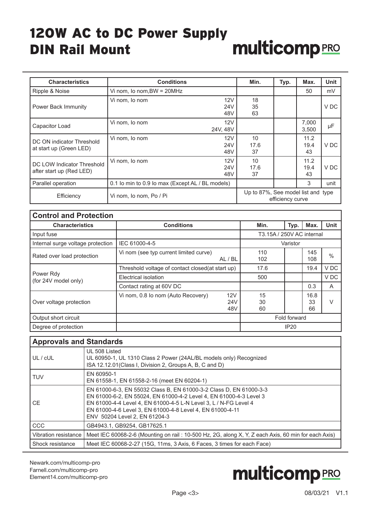| <b>Characteristics</b>                                 | <b>Conditions</b>                                | Min.                               | Typ.             | Max.               | <b>Unit</b> |
|--------------------------------------------------------|--------------------------------------------------|------------------------------------|------------------|--------------------|-------------|
| Ripple & Noise                                         | Vi nom, Io nom, BW = $20MHz$                     |                                    |                  | 50                 | mV          |
| <b>Power Back Immunity</b>                             | 12V<br>Vi nom, lo nom<br>24 <sub>V</sub><br>48V  | 18<br>35<br>63                     |                  |                    | V DC        |
| Capacitor Load                                         | 12V<br>Vi nom, lo nom<br>24V, 48V                |                                    |                  | 7,000<br>3,500     | μF          |
| DC ON indicator Threshold<br>at start up (Green LED)   | 12V<br>Vi nom, lo nom<br>24V<br>48V              | 10<br>17.6<br>37                   |                  | 11.2<br>19.4<br>43 | V DC        |
| DC LOW Indicator Threshold<br>after start up (Red LED) | 12V<br>Vi nom, lo nom<br>24V<br>48V              | 10<br>17.6<br>37                   |                  | 11.2<br>19.4<br>43 | V DC        |
| Parallel operation                                     | 0.1 lo min to 0.9 lo max (Except AL / BL models) |                                    |                  | 3                  | unit        |
| Efficiency                                             | Vi nom, lo nom, Po / Pi                          | Up to 87%, See model list and type | efficiency curve |                    |             |

| <b>Control and Protection</b>     |                                                         |                |                           |                  |               |  |
|-----------------------------------|---------------------------------------------------------|----------------|---------------------------|------------------|---------------|--|
| <b>Characteristics</b>            | <b>Conditions</b>                                       |                | Typ.                      | Max.             | <b>Unit</b>   |  |
| Input fuse                        |                                                         |                | T3.15A / 250V AC internal |                  |               |  |
| Internal surge voltage protection | IEC 61000-4-5                                           |                | Varistor                  |                  |               |  |
| Rated over load protection        | Vi nom (see typ current limited curve)<br>AL / BL       | 110<br>102     |                           | 145<br>108       | $\frac{0}{0}$ |  |
|                                   | Threshold voltage of contact closed (at start up)       | 17.6           |                           | 19.4             | V DC          |  |
| Power Rdy<br>(for 24V model only) | Electrical isolation                                    | 500            |                           |                  | V DC          |  |
|                                   | Contact rating at 60V DC                                |                |                           | 0.3              | A             |  |
| Over voltage protection           | 12V<br>Vi nom, 0.8 lo nom (Auto Recovery)<br>24V<br>48V | 15<br>30<br>60 |                           | 16.8<br>33<br>66 | V             |  |
| Output short circuit              |                                                         |                | Fold forward              |                  |               |  |
| Degree of protection              |                                                         |                | IP20                      |                  |               |  |

|                      | <b>Approvals and Standards</b>                                                                                                                                                                                                                                                                             |  |  |  |  |  |  |
|----------------------|------------------------------------------------------------------------------------------------------------------------------------------------------------------------------------------------------------------------------------------------------------------------------------------------------------|--|--|--|--|--|--|
| UL / cUL             | UL 508 Listed<br>UL 60950-1, UL 1310 Class 2 Power (24AL/BL models only) Recognized<br>ISA 12.12.01 (Class I, Division 2, Groups A, B, C and D)                                                                                                                                                            |  |  |  |  |  |  |
| <b>TUV</b>           | EN 60950-1<br>EN 61558-1, EN 61558-2-16 (meet EN 60204-1)                                                                                                                                                                                                                                                  |  |  |  |  |  |  |
| <b>CE</b>            | EN 61000-6-3, EN 55032 Class B, EN 61000-3-2 Class D, EN 61000-3-3<br>EN 61000-6-2, EN 55024, EN 61000-4-2 Level 4, EN 61000-4-3 Level 3<br>EN 61000-4-4 Level 4, EN 61000-4-5 L-N Level 3, L / N-FG Level 4<br>EN 61000-4-6 Level 3, EN 61000-4-8 Level 4, EN 61000-4-11<br>ENV 50204 Level 2, EN 61204-3 |  |  |  |  |  |  |
| CCC                  | GB4943.1, GB9254, GB17625.1                                                                                                                                                                                                                                                                                |  |  |  |  |  |  |
| Vibration resistance | Meet IEC 60068-2-6 (Mounting on rail: 10-500 Hz, 2G, along X, Y, Z each Axis, 60 min for each Axis)                                                                                                                                                                                                        |  |  |  |  |  |  |
| Shock resistance     | Meet IEC 60068-2-27 (15G, 11ms, 3 Axis, 6 Faces, 3 times for each Face)                                                                                                                                                                                                                                    |  |  |  |  |  |  |

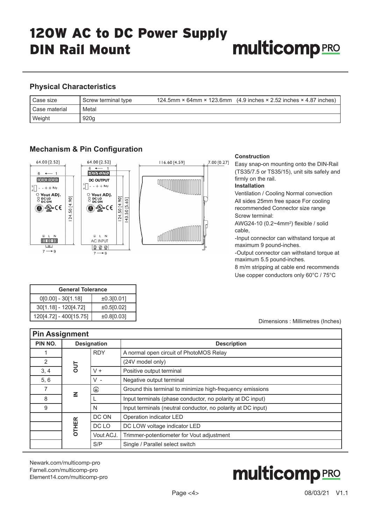#### **Physical Characteristics**

**Mechanism & Pin Configuration**

| l Case size     | Screw terminal type | 124.5mm $\times$ 64mm $\times$ 123.6mm (4.9 inches $\times$ 2.52 inches $\times$ 4.87 inches) |
|-----------------|---------------------|-----------------------------------------------------------------------------------------------|
| I Case material | Metal               |                                                                                               |
| Weight          | 920q                |                                                                                               |

#### 64.00 [2.52] 64.00 [2.52] 116.60 [4.59]  $7.00 [0.27]$  $\frac{1}{1}$  $\leftarrow$  1  $6 \overline{6}$  $[0]0[0]0[0]0]$ **DC OUTPUT**  $\sum_{p=1}^{S}$  - - + + Rdy  $\frac{s}{s}$  - - + + Rdy 」<br>○ Vout ADJ.<br>○ DC LO<br>○ DC ON ○ Vout ADJ. **O** DC LO 50 [4.90] 24.50 [4.90]  $[43.50 [5.65]$ **֎֎**՟՟ **֎֎**՟ 24.  $\circledast$  L N  $D$  L N 000 **AC INPUT**  $\frac{1}{\sqrt{2}}$  $\boxed{\mathbb{Q} \otimes \mathbb{Q}}$  $7 \rightarrow 9$  $7 \rightarrow$  9

#### **Construction**

Easy snap-on mounting onto the DIN-Rail (TS35/7.5 or TS35/15), unit sits safeIy and firmly on the rail.

**Installation**

Ventilation / Cooling Normal convection All sides 25mm free space For cooling recommended Connector size range Screw terminal:

AWG24-10 (0.2~4mm<sup>2</sup>) flexible / solid cable,

-Input connector can withstand torque at maximum 9 pound-inches.

-Output connector can withstand torque at maximum 5.5 pound-inches.

8 m/m stripping at cable end recommends Use copper conductors only 60°C / 75°C

| <b>General Tolerance</b> |            |  |  |  |  |
|--------------------------|------------|--|--|--|--|
| $0[0.00] - 30[1.18]$     | ±0.3[0.01] |  |  |  |  |
| 30[1.18] - 120[4.72]     | ±0.5[0.02] |  |  |  |  |
| 120[4.72] - 400[15.75]   | ±0.8[0.03] |  |  |  |  |

#### Dimensions : Millimetres (Inches)

| <b>Pin Assignment</b> |                    |           |                                                              |  |  |
|-----------------------|--------------------|-----------|--------------------------------------------------------------|--|--|
| PIN NO.               | <b>Designation</b> |           | <b>Description</b>                                           |  |  |
|                       | <b>RDY</b>         |           | A normal open circuit of PhotoMOS Relay                      |  |  |
| 2                     | <b>JUO</b>         |           | (24V model only)                                             |  |  |
| 3, 4                  |                    | $V +$     | Positive output terminal                                     |  |  |
| 5, 6                  |                    | v -       | Negative output terminal                                     |  |  |
| 7                     | $\leq$             | ⊕         | Ground this terminal to minimize high-frequency emissions    |  |  |
| 8                     |                    |           | Input terminals (phase conductor, no polarity at DC input)   |  |  |
| 9                     |                    | N         | Input terminals (neutral conductor, no polarity at DC input) |  |  |
|                       |                    | DC ON     | Operation indicator LED                                      |  |  |
|                       | <b>OTHER</b>       | DC LO     | DC LOW voltage indicator LED                                 |  |  |
|                       |                    | Vout ACJ. | Trimmer-potentiometer for Vout adjustment                    |  |  |
|                       | S/P                |           | Single / Parallel select switch                              |  |  |